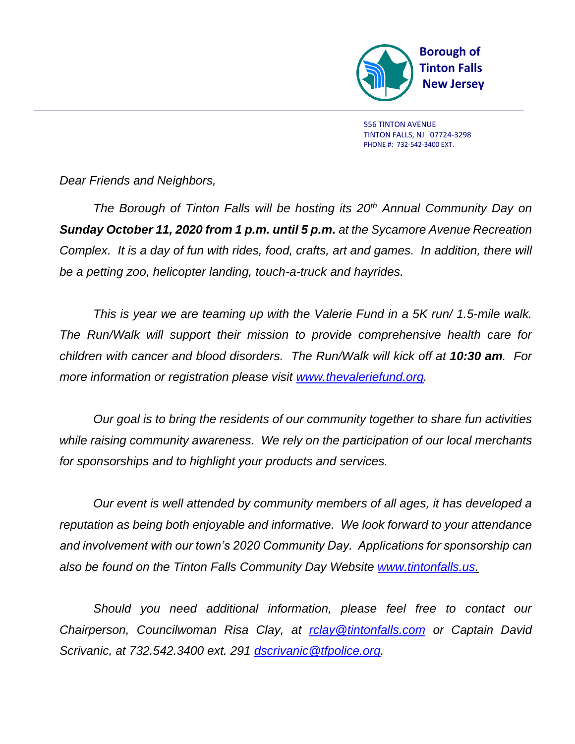

*Dear Friends and Neighbors,*

*The Borough of Tinton Falls will be hosting its 20th Annual Community Day on Sunday October 11, 2020 from 1 p.m. until 5 p.m. at the Sycamore Avenue Recreation Complex. It is a day of fun with rides, food, crafts, art and games. In addition, there will be a petting zoo, helicopter landing, touch-a-truck and hayrides.*

*This is year we are teaming up with the Valerie Fund in a 5K run/ 1.5-mile walk. The Run/Walk will support their mission to provide comprehensive health care for children with cancer and blood disorders. The Run/Walk will kick off at 10:30 am. For more information or registration please visit [www.thevaleriefund.org.](http://www.thevaleriefund.org/)*

*Our goal is to bring the residents of our community together to share fun activities while raising community awareness. We rely on the participation of our local merchants for sponsorships and to highlight your products and services.*

*Our event is well attended by community members of all ages, it has developed a reputation as being both enjoyable and informative. We look forward to your attendance and involvement with our town's 2020 Community Day. Applications for sponsorship can also be found on the Tinton Falls Community Day Website [www.tintonfalls.us.](http://www.tintonfalls.us/)*

*Should you need additional information, please feel free to contact our Chairperson, Councilwoman Risa Clay, at [rclay@tintonfalls.com](mailto:rclay@tintonfalls.com) or Captain David Scrivanic, at 732.542.3400 ext. 291 [dscrivanic@tfpolice.org.](mailto:dscrivanic@tfpolice.org)*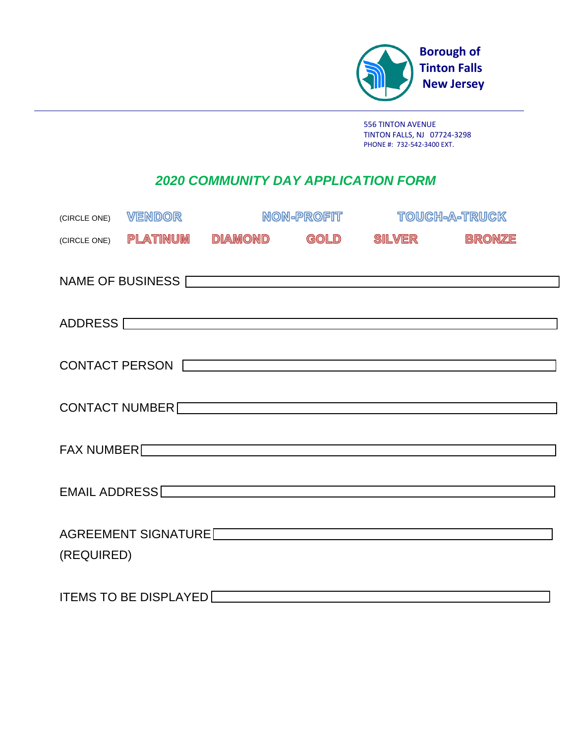

# *2020 COMMUNITY DAY APPLICATION FORM*

| (CIRCLE ONE)          | VENDOR                       | NON-PROFIT                                                                                                                                                                                                                     |      | <b>TOUCH-A-TRUCK</b> |               |  |
|-----------------------|------------------------------|--------------------------------------------------------------------------------------------------------------------------------------------------------------------------------------------------------------------------------|------|----------------------|---------------|--|
| (CIRCLE ONE)          | <b>PLATINUM</b>              | <b>DIAMOND</b>                                                                                                                                                                                                                 | GOLD | SILVER               | <b>BRONZE</b> |  |
|                       |                              | NAME OF BUSINESS                                                                                                                                                                                                               |      |                      |               |  |
|                       |                              |                                                                                                                                                                                                                                |      |                      |               |  |
| <b>CONTACT PERSON</b> |                              |                                                                                                                                                                                                                                |      |                      |               |  |
|                       |                              | CONTACT NUMBER                                                                                                                                                                                                                 |      |                      |               |  |
|                       |                              | FAX NUMBER                                                                                                                                                                                                                     |      |                      |               |  |
|                       |                              | EMAIL ADDRESS COMMUNICATION CONTINUES.                                                                                                                                                                                         |      |                      |               |  |
| (REQUIRED)            |                              | AGREEMENT SIGNATURE NAME AND RESERVE TO A SERIES AND RESERVE TO A SERIES AND RESERVE TO A SERIES AND RESERVE TO A SERIES AND RESERVE TO A SERIES AND RESERVE TO A SERIES AND RESERVE TO A SERIES AND RESERVE TO A SERIES AND R |      |                      |               |  |
|                       | <b>ITEMS TO BE DISPLAYED</b> |                                                                                                                                                                                                                                |      |                      |               |  |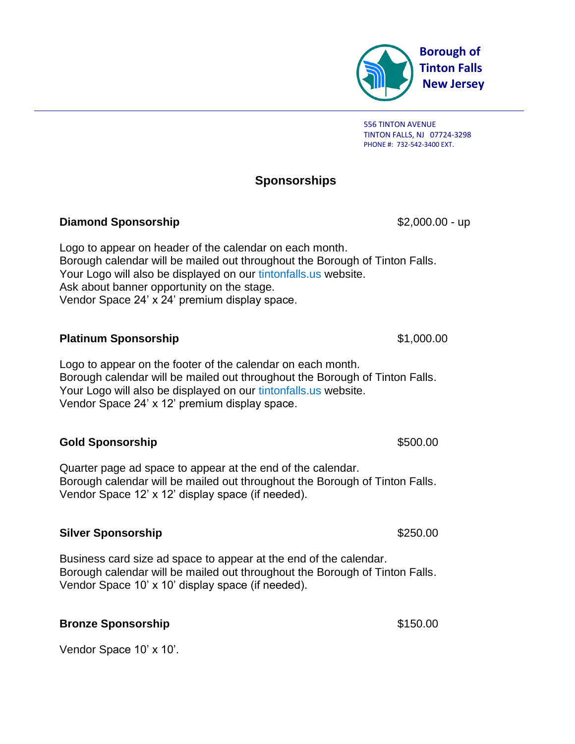

## **Sponsorships**

### **Diamond Sponsorship**  $$2,000.00$  - up

Logo to appear on header of the calendar on each month. Borough calendar will be mailed out throughout the Borough of Tinton Falls. Your Logo will also be displayed on our tintonfalls.us website. Ask about banner opportunity on the stage. Vendor Space 24' x 24' premium display space.

### **Platinum Sponsorship**  $$1,000.00$

Logo to appear on the footer of the calendar on each month. Borough calendar will be mailed out throughout the Borough of Tinton Falls. Your Logo will also be displayed on our tintonfalls.us website. Vendor Space 24' x 12' premium display space.

### **Gold Sponsorship**  $$500.00$

Quarter page ad space to appear at the end of the calendar. Borough calendar will be mailed out throughout the Borough of Tinton Falls. Vendor Space 12' x 12' display space (if needed).

#### **Silver Sponsorship** \$250.00

Business card size ad space to appear at the end of the calendar. Borough calendar will be mailed out throughout the Borough of Tinton Falls. Vendor Space 10' x 10' display space (if needed).

## **Bronze Sponsorship**  $$150.00$

Vendor Space 10' x 10'.